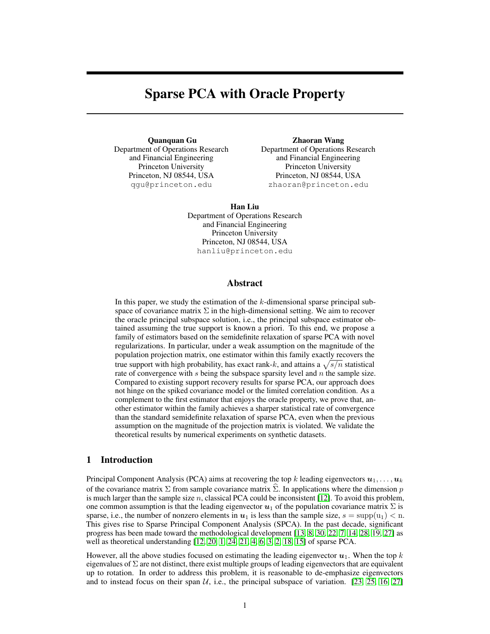# Sparse PCA with Oracle Property

Quanquan Gu Department of Operations Research and Financial Engineering Princeton University Princeton, NJ 08544, USA qgu@princeton.edu

Zhaoran Wang Department of Operations Research and Financial Engineering Princeton University Princeton, NJ 08544, USA zhaoran@princeton.edu

Han Liu Department of Operations Research and Financial Engineering Princeton University Princeton, NJ 08544, USA hanliu@princeton.edu

## Abstract

In this paper, we study the estimation of the  $k$ -dimensional sparse principal subspace of covariance matrix  $\Sigma$  in the high-dimensional setting. We aim to recover the oracle principal subspace solution, i.e., the principal subspace estimator obtained assuming the true support is known a priori. To this end, we propose a family of estimators based on the semidefinite relaxation of sparse PCA with novel regularizations. In particular, under a weak assumption on the magnitude of the population projection matrix, one estimator within this family exactly recovers the true support with high probability, has exact rank-k, and attains a  $\sqrt{s/n}$  statistical rate of convergence with  $s$  being the subspace sparsity level and  $n$  the sample size. Compared to existing support recovery results for sparse PCA, our approach does not hinge on the spiked covariance model or the limited correlation condition. As a complement to the first estimator that enjoys the oracle property, we prove that, another estimator within the family achieves a sharper statistical rate of convergence than the standard semidefinite relaxation of sparse PCA, even when the previous assumption on the magnitude of the projection matrix is violated. We validate the theoretical results by numerical experiments on synthetic datasets.

# 1 Introduction

Principal Component Analysis (PCA) aims at recovering the top k leading eigenvectors  $u_1, \ldots, u_k$ of the covariance matrix  $\Sigma$  from sample covariance matrix  $\hat{\Sigma}$ . In applications where the dimension p is much larger than the sample size  $n$ , classical PCA could be inconsistent [12]. To avoid this problem, one common assumption is that the leading eigenvector  $u_1$  of the population covariance matrix  $\Sigma$  is sparse, i.e., the number of nonzero elements in  $u_1$  is less than the sample size,  $s = \text{supp}(u_1) < n$ . This gives rise to Sparse Principal Component Analysis (SPCA). In the past decade, significant progress has been made toward the methodological development [13, 8, 30, 22, 7, 14, 28, 19, 27] as well as theoretical understanding [12, 20, 1, 24, 21, 4, 6, 3, 2, 18, 15] of sparse PCA.

However, all the above studies focused on estimating the leading eigenvector  $u_1$ . When the top k eigenvalues of  $\Sigma$  are not distinct, there exist multiple groups of leading eigenvectors that are equivalent up to rotation. In order to address this problem, it is reasonable to de-emphasize eigenvectors and to instead focus on their span  $U$ , i.e., the principal subspace of variation. [23, 25, 16, 27]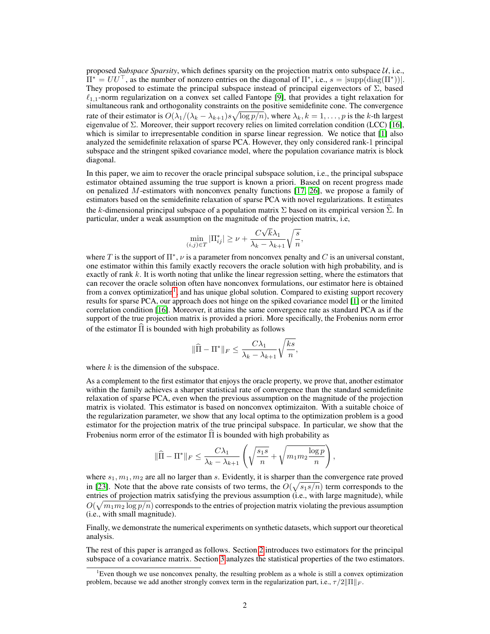proposed *Subspace Sparsity*, which defines sparsity on the projection matrix onto subspace U, i.e.,  $\Pi^* = U U^\top$ , as the number of nonzero entries on the diagonal of  $\Pi^*$ , i.e.,  $s = |\text{supp}(\text{diag}(\Pi^*))|$ . They proposed to estimate the principal subspace instead of principal eigenvectors of  $\Sigma$ , based  $\ell_{1,1}$ -norm regularization on a convex set called Fantope [9], that provides a tight relaxation for simultaneous rank and orthogonality constraints on the positive semidefinite cone. The convergence rate of their estimator is  $O(\lambda_1/(\lambda_k - \lambda_{k+1})s\sqrt{\log p/n})$ , where  $\lambda_k, k = 1, \ldots, p$  is the k-th largest eigenvalue of Σ. Moreover, their support recovery relies on limited correlation condition (LCC) [16], which is similar to irrepresentable condition in sparse linear regression. We notice that [1] also analyzed the semidefinite relaxation of sparse PCA. However, they only considered rank-1 principal subspace and the stringent spiked covariance model, where the population covariance matrix is block diagonal.

In this paper, we aim to recover the oracle principal subspace solution, i.e., the principal subspace estimator obtained assuming the true support is known a priori. Based on recent progress made on penalized M-estimators with nonconvex penalty functions [17, 26], we propose a family of estimators based on the semidefinite relaxation of sparse PCA with novel regularizations. It estimates the k-dimensional principal subspace of a population matrix  $\Sigma$  based on its empirical version  $\Sigma$ . In particular, under a weak assumption on the magnitude of the projection matrix, i.e,

$$
\min_{(i,j)\in T}|\Pi_{ij}^*| \ge \nu + \frac{C\sqrt{k}\lambda_1}{\lambda_k - \lambda_{k+1}}\sqrt{\frac{s}{n}},
$$

where T is the support of  $\Pi^*$ ,  $\nu$  is a parameter from nonconvex penalty and C is an universal constant, one estimator within this family exactly recovers the oracle solution with high probability, and is exactly of rank  $k$ . It is worth noting that unlike the linear regression setting, where the estimators that can recover the oracle solution often have nonconvex formulations, our estimator here is obtained from a convex optimization<sup>1</sup>, and has unique global solution. Compared to existing support recovery results for sparse PCA, our approach does not hinge on the spiked covariance model [1] or the limited correlation condition [16]. Moreover, it attains the same convergence rate as standard PCA as if the support of the true projection matrix is provided a priori. More specifically, the Frobenius norm error of the estimator  $\Pi$  is bounded with high probability as follows

$$
\|\widehat{\Pi} - \Pi^*\|_F \le \frac{C\lambda_1}{\lambda_k - \lambda_{k+1}} \sqrt{\frac{ks}{n}},
$$

where  $k$  is the dimension of the subspace.

As a complement to the first estimator that enjoys the oracle property, we prove that, another estimator within the family achieves a sharper statistical rate of convergence than the standard semidefinite relaxation of sparse PCA, even when the previous assumption on the magnitude of the projection matrix is violated. This estimator is based on nonconvex optimizaiton. With a suitable choice of the regularization parameter, we show that any local optima to the optimization problem is a good estimator for the projection matrix of the true principal subspace. In particular, we show that the Frobenius norm error of the estimator  $\Pi$  is bounded with high probability as

$$
\|\widehat{\Pi} - \Pi^*\|_F \le \frac{C\lambda_1}{\lambda_k - \lambda_{k+1}} \left( \sqrt{\frac{s_1 s}{n}} + \sqrt{m_1 m_2 \frac{\log p}{n}} \right),
$$

where  $s_1, m_1, m_2$  are all no larger than s. Evidently, it is sharper than the convergence rate proved in [23]. Note that the above rate consists of two terms, the  $O(\sqrt{s_1s/n})$  term corresponds to the entries of projection matrix satisfying the previous assumption (i.e., with large magnitude), while  $O(\sqrt{m_1 m_2 \log p/n})$  corresponds to the entries of projection matrix violating the previous assumption (i.e., with small magnitude).

Finally, we demonstrate the numerical experiments on synthetic datasets, which support our theoretical analysis.

The rest of this paper is arranged as follows. Section 2 introduces two estimators for the principal subspace of a covariance matrix. Section 3 analyzes the statistical properties of the two estimators.

<sup>&</sup>lt;sup>1</sup>Even though we use nonconvex penalty, the resulting problem as a whole is still a convex optimization problem, because we add another strongly convex term in the regularization part, i.e.,  $\tau/2\|\Pi\|_F$ .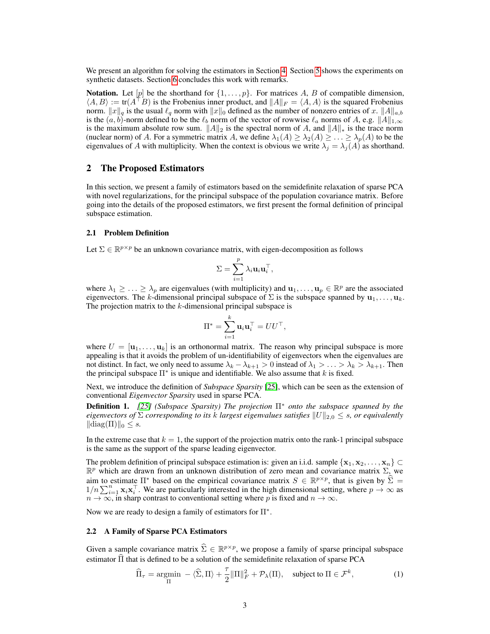We present an algorithm for solving the estimators in Section 4. Section 5 shows the experiments on synthetic datasets. Section 6 concludes this work with remarks.

**Notation.** Let  $[p]$  be the shorthand for  $\{1, \ldots, p\}$ . For matrices A, B of compatible dimension,  $\langle A, B \rangle := \text{tr}(A^\top B)$  is the Frobenius inner product, and  $||A||_F = \langle A, A \rangle$  is the squared Frobenius norm.  $||x||_q$  is the usual  $\ell_q$  norm with  $||x||_0$  defined as the number of nonzero entries of x.  $||A||_{a,b}$ is the  $(a, b)$ -norm defined to be the  $\ell_b$  norm of the vector of rowwise  $\ell_a$  norms of A, e.g.  $||A||_{1,\infty}$ is the maximum absolute row sum.  $||A||_2$  is the spectral norm of A, and  $||A||_*$  is the trace norm (nuclear norm) of A. For a symmetric matrix A, we define  $\lambda_1(A) \geq \lambda_2(A) \geq \ldots \geq \lambda_p(A)$  to be the eigenvalues of A with multiplicity. When the context is obvious we write  $\lambda_j = \lambda_j(A)$  as shorthand.

## 2 The Proposed Estimators

In this section, we present a family of estimators based on the semidefinite relaxation of sparse PCA with novel regularizations, for the principal subspace of the population covariance matrix. Before going into the details of the proposed estimators, we first present the formal definition of principal subspace estimation.

#### 2.1 Problem Definition

Let  $\Sigma \in \mathbb{R}^{p \times p}$  be an unknown covariance matrix, with eigen-decomposition as follows

$$
\Sigma = \sum_{i=1}^p \lambda_i \mathbf{u}_i \mathbf{u}_i^\top,
$$

where  $\lambda_1 \geq \ldots \geq \lambda_p$  are eigenvalues (with multiplicity) and  $\mathbf{u}_1, \ldots, \mathbf{u}_p \in \mathbb{R}^p$  are the associated eigenvectors. The k-dimensional principal subspace of  $\Sigma$  is the subspace spanned by  $\mathbf{u}_1, \dots, \mathbf{u}_k$ . The projection matrix to the  $k$ -dimensional principal subspace is

$$
\Pi^* = \sum_{i=1}^k \mathbf{u}_i \mathbf{u}_i^\top = U U^\top,
$$

where  $U = [\mathbf{u}_1, \dots, \mathbf{u}_k]$  is an orthonormal matrix. The reason why principal subspace is more appealing is that it avoids the problem of un-identifiability of eigenvectors when the eigenvalues are not distinct. In fact, we only need to assume  $\lambda_k - \lambda_{k+1} > 0$  instead of  $\lambda_1 > \ldots > \lambda_k > \lambda_{k+1}$ . Then the principal subspace  $\Pi^*$  is unique and identifiable. We also assume that k is fixed.

Next, we introduce the definition of *Subspace Sparsity* [25], which can be seen as the extension of conventional *Eigenvector Sparsity* used in sparse PCA.

Definition 1. *[25] (Subspace Sparsity) The projection* Π<sup>∗</sup> *onto the subspace spanned by the eigenvectors of*  $\Sigma$  *corresponding to its* k *largest eigenvalues satisfies*  $||U||_{2,0} \leq s$ , *or equivalently*  $\|\text{diag}(\Pi)\|_0 \leq s.$ 

In the extreme case that  $k = 1$ , the support of the projection matrix onto the rank-1 principal subspace is the same as the support of the sparse leading eigenvector.

The problem definition of principal subspace estimation is: given an i.i.d. sample  $\{x_1, x_2, \ldots, x_n\}$  $\mathbb{R}^p$  which are drawn from an unknown distribution of zero mean and covariance matrix  $\Sigma$ , we aim to estimate  $\Pi^*$  based on the empirical covariance matrix  $S \in \mathbb{R}^{p \times p}$ , that is given by  $\hat{\Sigma} =$ <br> $\mathbb{R}^{p \times p}$ ,  $\mathbb{R}^{p \times p}$ ,  $\mathbb{R}^{p \times p}$ ,  $\mathbb{R}^{p \times p}$ ,  $\mathbb{R}^{p \times p}$ ,  $\mathbb{R}^{p \times p}$ ,  $\mathbb{R}^{p \times p}$ ,  $1/n \sum_{i=1}^n \mathbf{x}_i \mathbf{x}_i^{\top}$ . We are particularly interested in the high dimensional setting, where  $p \to \infty$  as  $n \to \infty$ , in sharp contrast to conventional setting where p is fixed and  $n \to \infty$ .

Now we are ready to design a family of estimators for  $\Pi^*$ .

#### 2.2 A Family of Sparse PCA Estimators

Given a sample covariance matrix  $\hat{\Sigma} \in \mathbb{R}^{p \times p}$ , we propose a family of sparse principal subspace estimator  $\hat{\Pi}$  that is defined to be a solution of the semidefinite relaxation of sparse PCA

$$
\widehat{\Pi}_{\tau} = \underset{\Pi}{\text{argmin}} \ - \ \langle \widehat{\Sigma}, \Pi \rangle + \frac{\tau}{2} ||\Pi||_F^2 + \mathcal{P}_{\lambda}(\Pi), \quad \text{subject to } \Pi \in \mathcal{F}^k,\tag{1}
$$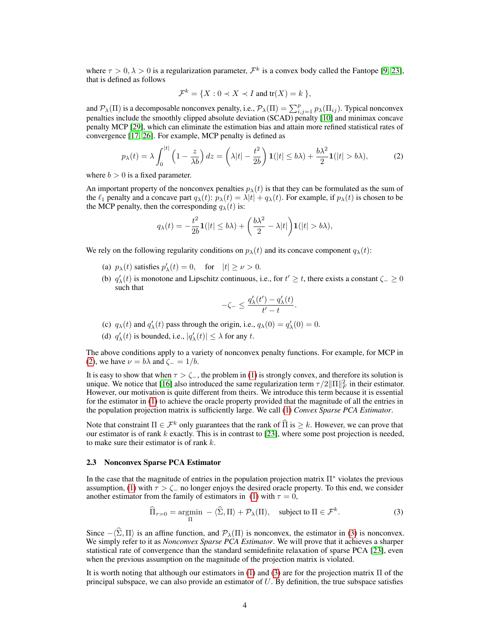where  $\tau > 0, \lambda > 0$  is a regularization parameter,  $\mathcal{F}^k$  is a convex body called the Fantope [9, 23], that is defined as follows

$$
\mathcal{F}^k = \{ X : 0 \prec X \prec I \text{ and } \text{tr}(X) = k \},
$$

and  $\mathcal{P}_\lambda(\Pi)$  is a decomposable nonconvex penalty, i.e.,  $\mathcal{P}_\lambda(\Pi) = \sum_{i,j=1}^p p_\lambda(\Pi_{ij})$ . Typical nonconvex penalties include the smoothly clipped absolute deviation (SCAD) penalty [10] and minimax concave penalty MCP [29], which can eliminate the estimation bias and attain more refined statistical rates of convergence [17, 26]. For example, MCP penalty is defined as

$$
p_{\lambda}(t) = \lambda \int_0^{|t|} \left(1 - \frac{z}{\lambda b}\right) dz = \left(\lambda |t| - \frac{t^2}{2b}\right) \mathbf{1}(|t| \le b\lambda) + \frac{b\lambda^2}{2} \mathbf{1}(|t| > b\lambda),\tag{2}
$$

where  $b > 0$  is a fixed parameter.

An important property of the nonconvex penalties  $p_{\lambda}(t)$  is that they can be formulated as the sum of the  $\ell_1$  penalty and a concave part  $q_\lambda(t)$ :  $p_\lambda(t) = \lambda |t| + q_\lambda(t)$ . For example, if  $p_\lambda(t)$  is chosen to be the MCP penalty, then the corresponding  $q_{\lambda}(t)$  is:

$$
q_{\lambda}(t) = -\frac{t^2}{2b}\mathbf{1}(|t| \le b\lambda) + \left(\frac{b\lambda^2}{2} - \lambda|t|\right)\mathbf{1}(|t| > b\lambda),
$$

We rely on the following regularity conditions on  $p_{\lambda}(t)$  and its concave component  $q_{\lambda}(t)$ :

- (a)  $p_{\lambda}(t)$  satisfies  $p'_{\lambda}(t) = 0$ , for  $|t| \ge \nu > 0$ .
- (b)  $q'_{\lambda}(t)$  is monotone and Lipschitz continuous, i.e., for  $t' \geq t$ , there exists a constant  $\zeta_{-} \geq 0$ such that

$$
-\zeta_- \leq \frac{q_\lambda'(t')-q_\lambda'(t)}{t'-t}.
$$

- (c)  $q_{\lambda}(t)$  and  $q'_{\lambda}(t)$  pass through the origin, i.e.,  $q_{\lambda}(0) = q'_{\lambda}(0) = 0$ .
- (d)  $q'_{\lambda}(t)$  is bounded, i.e.,  $|q'_{\lambda}(t)| \leq \lambda$  for any t.

The above conditions apply to a variety of nonconvex penalty functions. For example, for MCP in (2), we have  $\nu = b\lambda$  and  $\zeta = 1/b$ .

It is easy to show that when  $\tau > \zeta$ , the problem in (1) is strongly convex, and therefore its solution is unique. We notice that [16] also introduced the same regularization term  $\tau/2\|\Pi\|_F^2$  in their estimator. However, our motivation is quite different from theirs. We introduce this term because it is essential for the estimator in (1) to achieve the oracle property provided that the magnitude of all the entries in the population projection matrix is sufficiently large. We call (1) *Convex Sparse PCA Estimator*.

Note that constraint  $\Pi \in \mathcal{F}^k$  only guarantees that the rank of  $\widehat{\Pi}$  is  $\geq k$ . However, we can prove that our estimator is of rank  $k$  exactly. This is in contrast to [23], where some post projection is needed, to make sure their estimator is of rank  $k$ .

#### 2.3 Nonconvex Sparse PCA Estimator

In the case that the magnitude of entries in the population projection matrix  $\Pi^*$  violates the previous assumption, (1) with  $\tau > \zeta$  no longer enjoys the desired oracle property. To this end, we consider another estimator from the family of estimators in (1) with  $\tau = 0$ ,

$$
\widehat{\Pi}_{\tau=0} = \underset{\Pi}{\text{argmin}} - \langle \widehat{\Sigma}, \Pi \rangle + \mathcal{P}_{\lambda}(\Pi), \quad \text{subject to } \Pi \in \mathcal{F}^k. \tag{3}
$$

Since  $-\langle \hat{\Sigma}, \Pi \rangle$  is an affine function, and  $\mathcal{P}_{\lambda}(\Pi)$  is nonconvex, the estimator in (3) is nonconvex. We simply refer to it as *Nonconvex Sparse PCA Estimator*. We will prove that it achieves a sharper statistical rate of convergence than the standard semidefinite relaxation of sparse PCA [23], even when the previous assumption on the magnitude of the projection matrix is violated.

It is worth noting that although our estimators in (1) and (3) are for the projection matrix Π of the principal subspace, we can also provide an estimator of  $U$ . By definition, the true subspace satisfies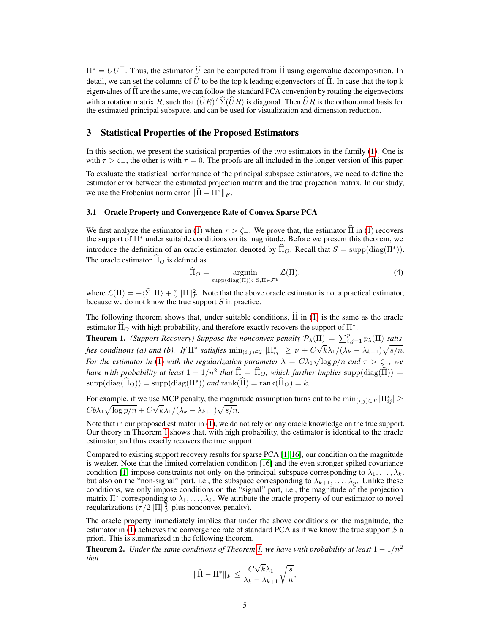$\Pi^* = U U^\top$ . Thus, the estimator  $\hat{U}$  can be computed from  $\hat{\Pi}$  using eigenvalue decomposition. In detail, we can set the columns of  $\hat{U}$  to be the top k leading eigenvectors of  $\hat{\Pi}$ . In case that the top k eigenvalues of  $\hat{\Pi}$  are the same, we can follow the standard PCA convention by rotating the eigenvectors with a rotation matrix R, such that  $(\widehat{U}R)^T\widehat{\Sigma}(\widehat{U}R)$  is diagonal. Then  $\widehat{U}R$  is the orthonormal basis for the estimated principal subspace, and can be used for visualization and dimension reduction.

## 3 Statistical Properties of the Proposed Estimators

In this section, we present the statistical properties of the two estimators in the family (1). One is with  $\tau > \zeta$ , the other is with  $\tau = 0$ . The proofs are all included in the longer version of this paper.

To evaluate the statistical performance of the principal subspace estimators, we need to define the estimator error between the estimated projection matrix and the true projection matrix. In our study, we use the Frobenius norm error  $\|\hat{\Pi} - \Pi^*\|_F$ .

#### 3.1 Oracle Property and Convergence Rate of Convex Sparse PCA

We first analyze the estimator in (1) when  $\tau > \zeta$ . We prove that, the estimator  $\hat{\Pi}$  in (1) recovers the support of Π<sup>∗</sup> under suitable conditions on its magnitude. Before we present this theorem, we introduce the definition of an oracle estimator, denoted by  $\widehat{\Pi}_O$ . Recall that  $S = \text{supp}(\text{diag}(\Pi^*))$ . The oracle estimator  $\widehat{\Pi}_{\Omega}$  is defined as

$$
\widehat{\Pi}_O = \underset{\text{supp}(\text{diag}(\Pi)) \subset \mathcal{S}, \Pi \in \mathcal{F}^k}{\text{argmin}} \mathcal{L}(\Pi). \tag{4}
$$

where  $\mathcal{L}(\Pi) = -\langle \widehat{\Sigma}, \Pi \rangle + \frac{\tau}{2} \|\Pi\|_F^2$ . Note that the above oracle estimator is not a practical estimator, because we do not know the true support  $S$  in practice.

The following theorem shows that, under suitable conditions,  $\hat{\Pi}$  in (1) is the same as the oracle estimator  $\widehat{\Pi}_O$  with high probability, and therefore exactly recovers the support of  $\Pi^*$ .

**Theorem 1.** *(Support Recovery)* Suppose the nonconvex penalty  $\mathcal{P}_{\lambda}(\Pi) = \sum_{i,j=1}^{p} p_{\lambda}(\Pi)$  satis*fies conditions (a) and (b).* If  $\Pi^*$  satisfies  $\min_{(i,j)\in\mathcal{T}}|\Pi^*_{ij}|\geq \nu + C\sqrt{k}\lambda_1/(\lambda_k-\lambda_{k+1})\sqrt{s/n}$ . *For the estimator in* (1) with the regularization parameter  $\lambda = C \lambda_1 \sqrt{\log p/n}$  and  $\tau > \zeta_-,$  we *have with probability at least*  $1 - 1/n^2$  *that*  $\widehat{\Pi} = \widehat{\Pi}_O$ *, which further implies* supp $(\text{diag}(\widehat{\Pi})) =$  $\text{supp}(\text{diag}(\widehat{\Pi}_{\text{O}})) = \text{supp}(\text{diag}(\Pi^*))$  *and*  $\text{rank}(\widehat{\Pi}) = \text{rank}(\widehat{\Pi}_{\text{O}}) = k$ .

For example, if we use MCP penalty, the magnitude assumption turns out to be  $\min_{(i,j)\in T} |\Pi^*_{ij}| \ge$  $Cb\lambda_1\sqrt{\log p/n}+C\sqrt{k}\lambda_1/(\lambda_k-\lambda_{k+1})\sqrt{s/n}.$ 

Note that in our proposed estimator in (1), we do not rely on any oracle knowledge on the true support. Our theory in Theorem 1 shows that, with high probability, the estimator is identical to the oracle estimator, and thus exactly recovers the true support.

Compared to existing support recovery results for sparse PCA [1, 16], our condition on the magnitude is weaker. Note that the limited correlation condition [16] and the even stronger spiked covariance condition [1] impose constraints not only on the principal subspace corresponding to  $\lambda_1, \dots, \lambda_k$ , but also on the "non-signal" part, i.e., the subspace corresponding to  $\lambda_{k+1}, \ldots, \lambda_p$ . Unlike these conditions, we only impose conditions on the "signal" part, i.e., the magnitude of the projection matrix  $\Pi^*$  corresponding to  $\lambda_1, \ldots, \lambda_k$ . We attribute the oracle property of our estimator to novel regularizations  $(\tau/2||\Pi||_F^2$  plus nonconvex penalty).

The oracle property immediately implies that under the above conditions on the magnitude, the estimator in  $(1)$  achieves the convergence rate of standard PCA as if we know the true support S a priori. This is summarized in the following theorem.

**Theorem 2.** *Under the same conditions of Theorem 1, we have with probability at least*  $1 - 1/n^2$ *that* √

$$
\|\widehat{\Pi} - \Pi^*\|_F \le \frac{C\sqrt{k}\lambda_1}{\lambda_k - \lambda_{k+1}}\sqrt{\frac{s}{n}},
$$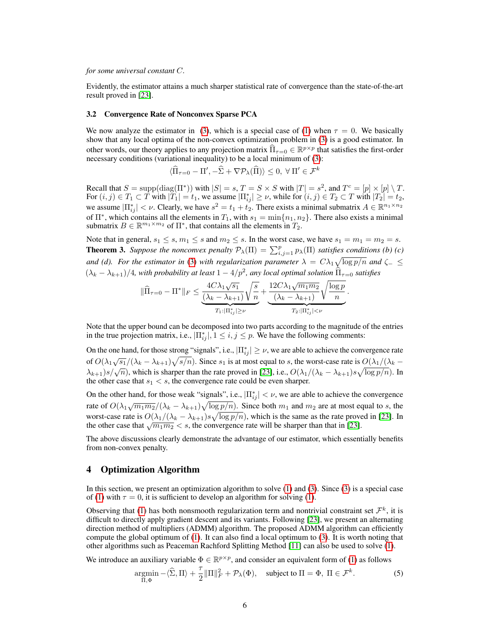#### *for some universal constant* C*.*

Evidently, the estimator attains a much sharper statistical rate of convergence than the state-of-the-art result proved in [23].

#### 3.2 Convergence Rate of Nonconvex Sparse PCA

We now analyze the estimator in (3), which is a special case of (1) when  $\tau = 0$ . We basically show that any local optima of the non-convex optimization problem in (3) is a good estimator. In other words, our theory applies to any projection matrix  $\widehat{\Pi}_{\tau=0} \in \mathbb{R}^{p \times p}$  that satisfies the first-order necessary conditions (variational inequality) to be a local minimum of (3):

$$
\langle \widehat{\Pi}_{\tau=0} - \Pi', -\widehat{\Sigma} + \nabla \mathcal{P}_{\lambda}(\widehat{\Pi}) \rangle \le 0, \ \forall \ \Pi' \in \mathcal{F}^k
$$

Recall that  $S = \text{supp}(\text{diag}(\Pi^*))$  with  $|S| = s$ ,  $T = S \times S$  with  $|T| = s^2$ , and  $T^c = [p] \times [p] \setminus T$ . For  $(i, j) \in T_1 \subset T$  with  $|T_1| = t_1$ , we assume  $|\Pi_{ij}^*| \ge \nu$ , while for  $(i, j) \in T_2 \subset T$  with  $|T_2| = t_2$ , we assume  $|\Pi_{ij}^*| < \nu$ . Clearly, we have  $s^2 = t_1 + t_2$ . There exists a minimal submatrix  $A \in \mathbb{R}^{n_1 \times n_2}$ of  $\Pi^*$ , which contains all the elements in  $T_1$ , with  $s_1 = \min\{n_1, n_2\}$ . There also exists a minimal submatrix  $B \in \mathbb{R}^{m_1 \times m_2}$  of  $\Pi^*$ , that contains all the elements in  $T_2$ .

Note that in general,  $s_1 \leq s, m_1 \leq s$  and  $m_2 \leq s$ . In the worst case, we have  $s_1 = m_1 = m_2 = s$ . **Theorem 3.** Suppose the nonconvex penalty  $\mathcal{P}_{\lambda}(\Pi) = \sum_{i,j=1}^{p} p_{\lambda}(\Pi)$  satisfies conditions (b) (c) and (d). For the estimator in (3) with regularization parameter  $\lambda = C \lambda_1 \sqrt{\log p/n}$  and  $\zeta_- \leq$  $(\lambda_k - \lambda_{k+1})/4$ , with probability at least  $1 - 4/p^2$ , any local optimal solution  $\widehat{\Pi}_{\tau=0}$  satisfies

$$
\|\widehat{\Pi}_{\tau=0}-\Pi^*\|_F \leq \underbrace{\frac{4C\lambda_1\sqrt{s_1}}{(\lambda_k-\lambda_{k+1})}\sqrt{\frac{s}{n}}}_{T_1:|\Pi_{ij}^*|\geq \nu}+\underbrace{\frac{12C\lambda_1\sqrt{m_1m_2}}{(\lambda_k-\lambda_{k+1})}\sqrt{\frac{\log p}{n}}}_{T_2:|\Pi_{ij}^*|<\nu}.
$$

Note that the upper bound can be decomposed into two parts according to the magnitude of the entries in the true projection matrix, i.e.,  $|\Pi_{ij}^*|, 1 \le i, j \le p$ . We have the following comments:

On the one hand, for those strong "signals", i.e.,  $|\Pi_{ij}^*| \geq \nu$ , we are able to achieve the convergence rate of  $O(\lambda_1\sqrt{s_1}/(\lambda_k-\lambda_{k+1})\sqrt{s/n})$ . Since  $s_1$  is at most equal to s, the worst-case rate is  $O(\lambda_1/(\lambda_k-\lambda_{k+1})\sqrt{s/n})$ .  $\lambda_{k+1}$ )s/ $\sqrt{n}$ ), which is sharper than the rate proved in [23], i.e.,  $O(\lambda_1/(\lambda_k - \lambda_{k+1})s\sqrt{\log p/n})$ . In the other case that  $s_1 < s$ , the convergence rate could be even sharper.

On the other hand, for those weak "signals", i.e.,  $|\Pi_{ij}^*| < \nu$ , we are able to achieve the convergence rate of  $O(\lambda_1\sqrt{m_1m_2}/(\lambda_k-\lambda_{k+1})\sqrt{\log p/n})$ . Since both  $m_1$  and  $m_2$  are at most equal to s, the worst-case rate is  $O(\lambda_1/(\lambda_k - \lambda_{k+1})s\sqrt{\log p/n})$ , which is the same as the rate proved in [23]. In the other case that  $\sqrt{m_1 m_2} < s$ , the convergence rate will be sharper than that in [23].

The above discussions clearly demonstrate the advantage of our estimator, which essentially benefits from non-convex penalty.

## 4 Optimization Algorithm

In this section, we present an optimization algorithm to solve (1) and (3). Since (3) is a special case of (1) with  $\tau = 0$ , it is sufficient to develop an algorithm for solving (1).

Observing that (1) has both nonsmooth regularization term and nontrivial constraint set  $\mathcal{F}^k$ , it is difficult to directly apply gradient descent and its variants. Following [23], we present an alternating direction method of multipliers (ADMM) algorithm. The proposed ADMM algorithm can efficiently compute the global optimum of (1). It can also find a local optimum to (3). It is worth noting that other algorithms such as Peaceman Rachford Splitting Method [11] can also be used to solve (1).

We introduce an auxiliary variable  $\Phi \in \mathbb{R}^{p \times p}$ , and consider an equivalent form of (1) as follows

$$
\underset{\Pi, \Phi}{\text{argmin}} - \langle \widehat{\Sigma}, \Pi \rangle + \frac{\tau}{2} \|\Pi\|_{F}^{2} + \mathcal{P}_{\lambda}(\Phi), \quad \text{subject to } \Pi = \Phi, \ \Pi \in \mathcal{F}^{k}.
$$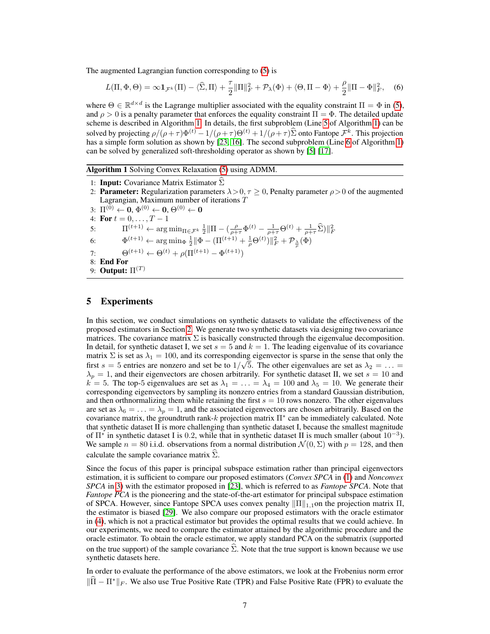The augmented Lagrangian function corresponding to (5) is

$$
L(\Pi, \Phi, \Theta) = \infty \mathbf{1}_{\mathcal{F}^k}(\Pi) - \langle \widehat{\Sigma}, \Pi \rangle + \frac{\tau}{2} \|\Pi\|_F^2 + \mathcal{P}_\lambda(\Phi) + \langle \Theta, \Pi - \Phi \rangle + \frac{\rho}{2} \|\Pi - \Phi\|_F^2, \quad (6)
$$

where  $\Theta \in \mathbb{R}^{d \times d}$  is the Lagrange multiplier associated with the equality constraint  $\Pi = \Phi$  in (5), and  $\rho > 0$  is a penalty parameter that enforces the equality constraint  $\Pi = \Phi$ . The detailed update scheme is described in Algorithm 1. In details, the first subproblem (Line 5 of Algorithm 1) can be solved by projecting  $\rho/(\rho + \tau)\Phi^{(t)} - 1/(\rho + \tau)\Theta^{(t)} + 1/(\rho + \tau)\widehat{\Sigma}$  onto Fantope  $\mathcal{F}^k$ . This projection has a simple form solution as shown by [23, 16]. The second subproblem (Line 6 of Algorithm 1) can be solved by generalized soft-thresholding operator as shown by [5] [17].

#### Algorithm 1 Solving Convex Relaxation (5) using ADMM.

1: **Input:** Covariance Matrix Estimator  $\Sigma$ 2: **Parameter:** Regularization parameters  $\lambda > 0$ ,  $\tau \ge 0$ , Penalty parameter  $\rho > 0$  of the augmented Lagrangian, Maximum number of iterations T  $3\colon\thinspace \Pi^{(0)}\leftarrow{\bf 0}, \Phi^{(0)}\leftarrow{\bf 0}, \Theta^{(0)}\leftarrow{\bf 0}$ 4: For  $t = 0, ..., T - 1$ 5:  $\Pi^{(t+1)} \leftarrow \arg \min_{\Pi \in \mathcal{F}^k} \frac{1}{2} \|\Pi - \left(\frac{\rho}{\rho + \tau} \Phi^{(t)} - \frac{1}{\rho + \tau} \Theta^{(t)} + \frac{1}{\rho + \tau} \widehat{\Sigma}\right)\|_F^2$ 6:  $\Phi^{(t+1)} \leftarrow \arg \min_{\Phi} \frac{1}{2} || \Phi - (\Pi^{(t+1)} + \frac{1}{\rho} \Theta^{(t)}) ||_F^2 + \mathcal{P}_{\frac{\lambda}{\rho}}(\Phi)$ 7:  $\Theta^{(t+1)} \leftarrow \Theta^{(t)} + \rho(\Pi^{(t+1)} - \Phi^{(t+1)})$ 8: End For 9: **Output:**  $\Pi^{(T)}$ 

## 5 Experiments

In this section, we conduct simulations on synthetic datasets to validate the effectiveness of the proposed estimators in Section 2. We generate two synthetic datasets via designing two covariance matrices. The covariance matrix  $\Sigma$  is basically constructed through the eigenvalue decomposition. In detail, for synthetic dataset I, we set  $s = 5$  and  $k = 1$ . The leading eigenvalue of its covariance matrix  $\Sigma$  is set as  $\lambda_1 = 100$ , and its corresponding eigenvector is sparse in the sense that only the first  $s = 5$  entries are nonzero and set be to  $1/\sqrt{5}$ . The other eigenvalues are set as  $\lambda_2 = \ldots =$  $\lambda_p = 1$ , and their eigenvectors are chosen arbitrarily. For synthetic dataset II, we set  $s = 10$  and  $k = 5$ . The top-5 eigenvalues are set as  $\lambda_1 = \ldots = \lambda_4 = 100$  and  $\lambda_5 = 10$ . We generate their corresponding eigenvectors by sampling its nonzero entries from a standard Gaussian distribution, and then orthnormalizing them while retaining the first  $s = 10$  rows nonzero. The other eigenvalues are set as  $\lambda_6 = \ldots = \lambda_p = 1$ , and the associated eigenvectors are chosen arbitrarily. Based on the covariance matrix, the groundtruth rank- $k$  projection matrix  $\Pi^*$  can be immediately calculated. Note that synthetic dataset II is more challenging than synthetic dataset I, because the smallest magnitude of  $\Pi^*$  in synthetic dataset I is 0.2, while that in synthetic dataset II is much smaller (about 10<sup>-3</sup>). We sample  $n = 80$  i.i.d. observations from a normal distribution  $\mathcal{N}(0, \Sigma)$  with  $p = 128$ , and then calculate the sample covariance matrix  $\Sigma$ .

Since the focus of this paper is principal subspace estimation rather than principal eigenvectors estimation, it is sufficient to compare our proposed estimators (*Convex SPCA* in (1) and *Nonconvex SPCA* in 3) with the estimator proposed in [23], which is referred to as *Fantope SPCA*. Note that *Fantope PCA* is the pioneering and the state-of-the-art estimator for principal subspace estimation of SPCA. However, since Fantope SPCA uses convex penalty  $\|\Pi\|_{1,1}$  on the projection matrix  $\Pi$ , the estimator is biased [29]. We also compare our proposed estimators with the oracle estimator in (4), which is not a practical estimator but provides the optimal results that we could achieve. In our experiments, we need to compare the estimator attained by the algorithmic procedure and the oracle estimator. To obtain the oracle estimator, we apply standard PCA on the submatrix (supported on the true support) of the sample covariance  $\Sigma$ . Note that the true support is known because we use synthetic datasets here.

In order to evaluate the performance of the above estimators, we look at the Frobenius norm error  $\|\Pi - \Pi^*\|_F$ . We also use True Positive Rate (TPR) and False Positive Rate (FPR) to evaluate the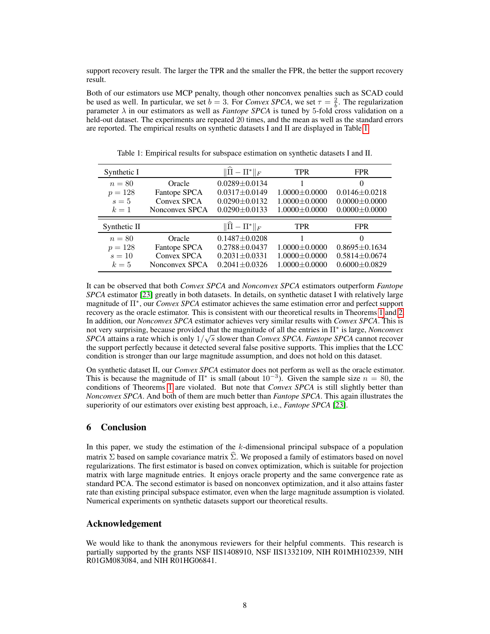support recovery result. The larger the TPR and the smaller the FPR, the better the support recovery result.

Both of our estimators use MCP penalty, though other nonconvex penalties such as SCAD could be used as well. In particular, we set  $b = 3$ . For *Convex SPCA*, we set  $\tau = \frac{2}{b}$ . The regularization parameter  $\lambda$  in our estimators as well as *Fantope SPCA* is tuned by 5-fold cross validation on a held-out dataset. The experiments are repeated 20 times, and the mean as well as the standard errors are reported. The empirical results on synthetic datasets I and II are displayed in Table 1.

| Synthetic I  |                | $\ \Pi-\Pi^*\ _F$         | <b>TPR</b>          | <b>FPR</b>          |
|--------------|----------------|---------------------------|---------------------|---------------------|
| $n=80$       | Oracle         | $0.0289 \pm 0.0134$       |                     | $\theta$            |
| $p = 128$    | Fantope SPCA   | $0.0317 \pm 0.0149$       | $1.0000 \pm 0.0000$ | $0.0146 \pm 0.0218$ |
| $s=5$        | Convex SPCA    | $0.0290 \pm 0.0132$       | $1.0000 \pm 0.0000$ | $0.0000 \pm 0.0000$ |
| $k=1$        | Nonconvex SPCA | $0.0290 \pm 0.0133$       | $1.0000 \pm 0.0000$ | $0.0000 \pm 0.0000$ |
|              |                |                           |                     |                     |
| Synthetic II |                | $\ \hat{\Pi} - \Pi^*\ _F$ | <b>TPR</b>          | <b>FPR</b>          |
| $n=80$       | Oracle         | $0.1487 \pm 0.0208$       |                     | $\Omega$            |
| $p = 128$    | Fantope SPCA   | $0.2788 \pm 0.0437$       | $1.0000 \pm 0.0000$ | $0.8695 \pm 0.1634$ |
| $s=10$       | Convex SPCA    | $0.2031 \pm 0.0331$       | $1.0000 \pm 0.0000$ | $0.5814 \pm 0.0674$ |

Table 1: Empirical results for subspace estimation on synthetic datasets I and II.

It can be observed that both *Convex SPCA* and *Nonconvex SPCA* estimators outperform *Fantope SPCA* estimator [23] greatly in both datasets. In details, on synthetic dataset I with relatively large magnitude of Π<sup>∗</sup> , our *Convex SPCA* estimator achieves the same estimation error and perfect support recovery as the oracle estimator. This is consistent with our theoretical results in Theorems 1 and 2. In addition, our *Nonconvex SPCA* estimator achieves very similar results with *Convex SPCA*. This is not very surprising, because provided that the magnitude of all the entries in Π<sup>∗</sup> is large, *Nonconvex* √ *SPCA* attains a rate which is only  $1/\sqrt{s}$  slower than *Convex SPCA*. *Fantope SPCA* cannot recover the support perfectly because it detected several false positive supports. This implies that the LCC condition is stronger than our large magnitude assumption, and does not hold on this dataset.

On synthetic dataset II, our *Convex SPCA* estimator does not perform as well as the oracle estimator. This is because the magnitude of  $\Pi^*$  is small (about  $10^{-3}$ ). Given the sample size  $n = 80$ , the conditions of Theorems 1 are violated. But note that *Convex SPCA* is still slightly better than *Nonconvex SPCA*. And both of them are much better than *Fantope SPCA*. This again illustrates the superiority of our estimators over existing best approach, i.e., *Fantope SPCA* [23].

# 6 Conclusion

In this paper, we study the estimation of the  $k$ -dimensional principal subspace of a population matrix  $\Sigma$  based on sample covariance matrix  $\hat{\Sigma}$ . We proposed a family of estimators based on novel regularizations. The first estimator is based on convex optimization, which is suitable for projection matrix with large magnitude entries. It enjoys oracle property and the same convergence rate as standard PCA. The second estimator is based on nonconvex optimization, and it also attains faster rate than existing principal subspace estimator, even when the large magnitude assumption is violated. Numerical experiments on synthetic datasets support our theoretical results.

## Acknowledgement

We would like to thank the anonymous reviewers for their helpful comments. This research is partially supported by the grants NSF IIS1408910, NSF IIS1332109, NIH R01MH102339, NIH R01GM083084, and NIH R01HG06841.